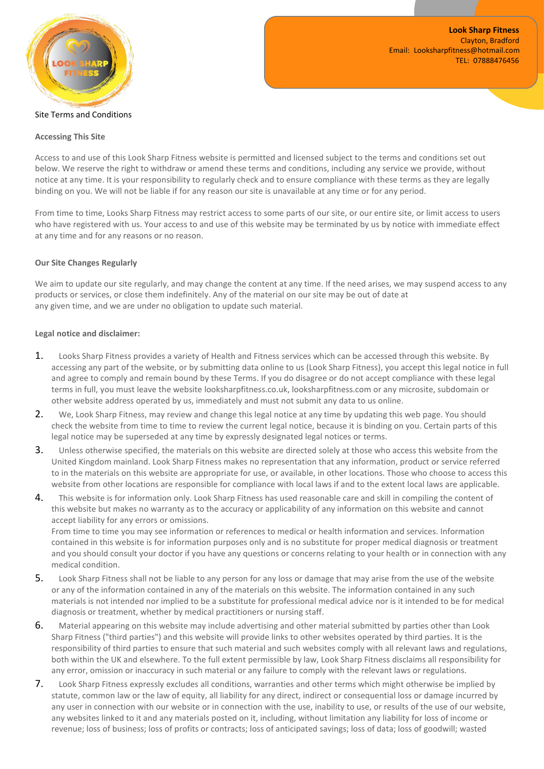

## Site Terms and Conditions

## **Accessing This Site**

Access to and use of this Look Sharp Fitness website is permitted and licensed subject to the terms and conditions set out below. We reserve the right to withdraw or amend these terms and conditions, including any service we provide, without notice at any time. It is your responsibility to regularly check and to ensure compliance with these terms as they are legally binding on you. We will not be liable if for any reason our site is unavailable at any time or for any period.

From time to time, Looks Sharp Fitness may restrict access to some parts of our site, or our entire site, or limit access to users who have registered with us. Your access to and use of this website may be terminated by us by notice with immediate effect at any time and for any reasons or no reason.

## **Our Site Changes Regularly**

We aim to update our site regularly, and may change the content at any time. If the need arises, we may suspend access to any products or services, or close them indefinitely. Any of the material on our site may be out of date at any given time, and we are under no obligation to update such material.

## **Legal notice and disclaimer:**

- 1. Looks Sharp Fitness provides a variety of Health and Fitness services which can be accessed through this website. By accessing any part of the website, or by submitting data online to us (Look Sharp Fitness), you accept this legal notice in full and agree to comply and remain bound by these Terms. If you do disagree or do not accept compliance with these legal terms in full, you must leave the website looksharpfitness.co.uk, looksharpfitness.com or any microsite, subdomain or other website address operated by us, immediately and must not submit any data to us online.
- 2. We, Look Sharp Fitness, may review and change this legal notice at any time by updating this web page. You should check the website from time to time to review the current legal notice, because it is binding on you. Certain parts of this legal notice may be superseded at any time by expressly designated legal notices or terms.
- 3. Unless otherwise specified, the materials on this website are directed solely at those who access this website from the United Kingdom mainland. Look Sharp Fitness makes no representation that any information, product or service referred to in the materials on this website are appropriate for use, or available, in other locations. Those who choose to access this website from other locations are responsible for compliance with local laws if and to the extent local laws are applicable.
- 4. This website is for information only. Look Sharp Fitness has used reasonable care and skill in compiling the content of this website but makes no warranty asto the accuracy or applicability of any information on this website and cannot accept liability for any errors or omissions.

From time to time you may see information or references to medical or health information and services. Information contained in this website is for information purposes only and is no substitute for proper medical diagnosis or treatment and you should consult your doctor if you have any questions or concerns relating to your health or in connection with any medical condition.

- 5. Look Sharp Fitness shall not be liable to any person for any loss or damage that may arise from the use of the website or any of the information contained in any of the materials on this website. The information contained in any such materials is not intended nor implied to be a substitute for professional medical advice nor is it intended to be for medical diagnosis or treatment, whether by medical practitioners or nursing staff.
- 6. Material appearing on this website may include advertising and other material submitted by parties other than Look Sharp Fitness ("third parties") and this website will provide linksto other websites operated by third parties. It is the responsibility of third parties to ensure that such material and such websites comply with all relevant laws and regulations, both within the UK and elsewhere. To the full extent permissible by law, Look Sharp Fitness disclaims all responsibility for any error, omission or inaccuracy in such material or any failure to comply with the relevant laws or regulations.
- 7. Look Sharp Fitness expressly excludes all conditions, warranties and other terms which might otherwise be implied by statute, common law or the law of equity, all liability for any direct, indirect or consequential loss or damage incurred by any user in connection with our website or in connection with the use, inability to use, or results of the use of our website, any websites linked to it and any materials posted on it, including, without limitation any liability for loss of income or revenue; loss of business; loss of profits or contracts; loss of anticipated savings; loss of data; loss of goodwill; wasted